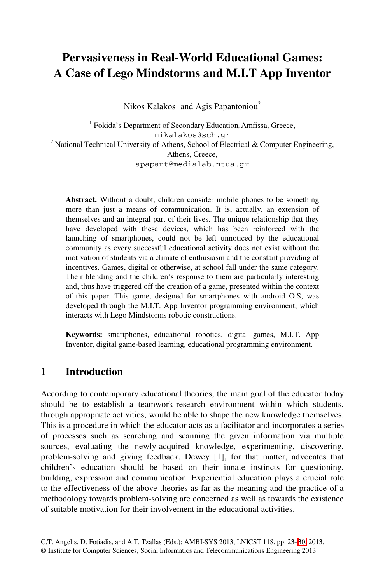# **Pervasiveness in Real-World Educational Games: A Case of Lego Mindstorms and M.I.T App Inventor**

Nikos Kalakos<sup>1</sup> and Agis Papantoniou<sup>2</sup>

<sup>1</sup> Fokida's Department of Secondary Education, Amfissa, Greece, nikalakos@sch.gr <sup>2</sup> National Technical University of Athens, School of Electrical & Computer Engineering, Athens, Greece, apapant@medialab.ntua.gr

**Abstract.** Without a doubt, children consider mobile phones to be something more than just a means of communication. It is, actually, an extension of themselves and an integral part of their lives. The unique relationship that they have developed with these devices, which has been reinforced with the launching of smartphones, could not be left unnoticed by the educational community as every successful educational activity does not exist without the motivation of students via a climate of enthusiasm and the constant providing of incentives. Games, digital or otherwise, at school fall under the same category. Their blending and the children's response to them are particularly interesting and, thus have triggered off the creation of a game, presented within the context of this paper. This game, designed for smartphones with android O.S, was developed through the M.I.T. App Inventor programming environment, which interacts with Lego Mindstorms robotic constructions.

**Keywords:** smartphones, educational robotics, digital games, M.I.T. App Inventor, digital game-based learning, educational programming environment.

### **1 Introduction**

According to contemporary educational theories, the main goal of the educator today should be to establish a teamwork-research environment within which students, through appropriate activities, would be able to shape the new knowledge themselves. This is a procedure in which the educator acts as a facilitator and incorporates a series of processes such as searching and scanning the given information via multiple sources, evaluating the newly-acquired knowledge, experimenting, discovering, problem-solving and giving feedback. Dewey [1], [for](#page-7-0) that matter, advocates that children's education should be based on their innate instincts for questioning, building, expression and communication. Experiential education plays a crucial role to the effectiveness of the above theories as far as the meaning and the practice of a methodology towards problem-solving are concerned as well as towards the existence of suitable motivation for their involvement in the educational activities.

C.T. Angelis, D. Fotiadis, and A.T. Tzallas (Eds.): AMBI-SYS 2013, LNICST 118, pp. 23–30, 2013. © Institute for Computer Sciences, Social Informatics and Telecommunications Engineering 2013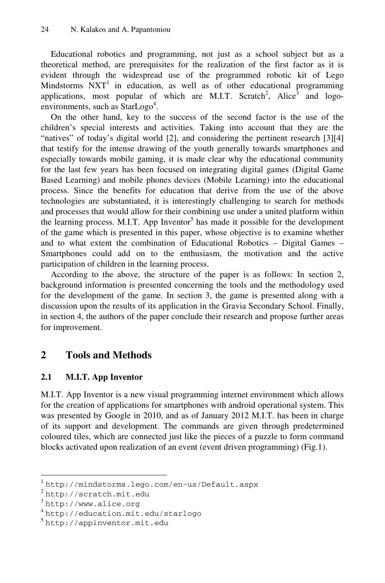Educational robotics and programming, not just as a school subject but as a theoretical method, are prerequisites for the realization of the first factor as it is evident through the widespread use of the programmed robotic kit of Lego Mindstorms  $NXT<sup>1</sup>$  in education, as well as of other educational programming applications, most popular of which are M.I.T. Scratch<sup>2</sup>, Alice<sup>3</sup> and logoenvironments, such as  $StartLogo<sup>4</sup>$ .

On the other hand, key to the success of the second factor is the use of the children's special interests and activities. Taking into account that they are the "natives" of today's digital world [2], and considering the pertinent research [3][4] that testify for the intense drawing of the youth generally towards smartphones and especially towards mobile gaming, it is made clear why the educational community for the last few years has been focused on integrating digital games (Digital Game Based Learning) and mobile phones devices (Mobile Learning) into the educational process. Since the benefits for education that derive from the use of the above technologies are substantiated, it is interestingly challenging to search for methods and processes that would allow for their combining use under a united platform within the learning process. M.I.T. App Inventor<sup>5</sup> has made it possible for the development of the game which is presented in this paper, whose objective is to examine whether and to what extent the combination of Educational Robotics – Digital Games – Smartphones could add on to the enthusiasm, the motivation and the active participation of children in the learning process.

According to the above, the structure of the paper is as follows: In section 2, background information is presented concerning the tools and the methodology used for the development of the game. In section 3, the game is presented along with a discussion upon the results of its application in the Gravia Secondary School. Finally, in section 4, the authors of the paper conclude their research and propose further areas for improvement.

# **2 Tools and Methods**

### **2.1 M.I.T. App Inventor**

M.I.T. App Inventor is a new visual programming internet environment which allows for the creation of applications for smartphones with android operational system. This was presented by Google in 2010, and as of January 2012 M.I.T. has been in charge of its support and development. The commands are given through predetermined coloured tiles, which are connected just like the pieces of a puzzle to form command blocks activated upon realization of an event (event driven programming) (Fig.1).

j

<sup>1</sup> http://mindstorms.lego.com/en-us/Default.aspx

<sup>2</sup> http://scratch.mit.edu

<sup>3</sup> http://www.alice.org

<sup>4</sup> http://education.mit.edu/starlogo

<sup>5</sup> http://appinventor.mit.edu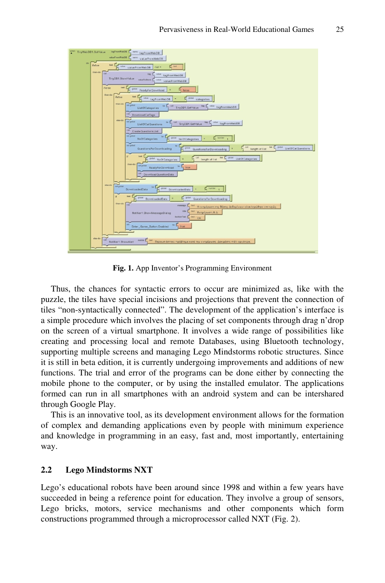

**Fig. 1.** App Inventor's Programming Environment

Thus, the chances for syntactic errors to occur are minimized as, like with the puzzle, the tiles have special incisions and projections that prevent the connection of tiles "non-syntactically connected". The development of the application's interface is a simple procedure which involves the placing of set components through drag n'drop on the screen of a virtual smartphone. It involves a wide range of possibilities like creating and processing local and remote Databases, using Bluetooth technology, supporting multiple screens and managing Lego Mindstorms robotic structures. Since it is still in beta edition, it is currently undergoing improvements and additions of new functions. The trial and error of the programs can be done either by connecting the mobile phone to the computer, or by using the installed emulator. The applications formed can run in all smartphones with an android system and can be intershared through Google Play.

This is an innovative tool, as its development environment allows for the formation of complex and demanding applications even by people with minimum experience and knowledge in programming in an easy, fast and, most importantly, entertaining way.

#### **2.2 Lego Mindstorms NXT**

Lego's educational robots have been around since 1998 and within a few years have succeeded in being a reference point for education. They involve a group of sensors, Lego bricks, motors, service mechanisms and other components which form constructions programmed through a microprocessor called NXT (Fig. 2).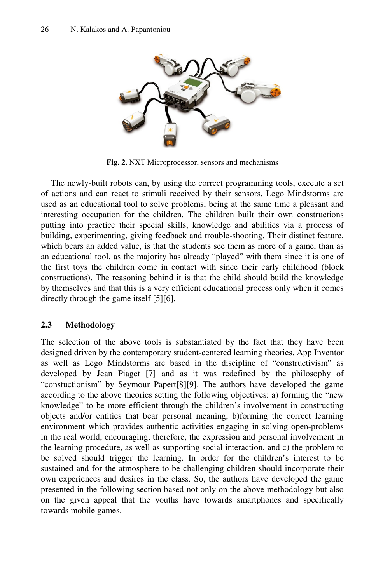

**Fig. 2.** NXT Microprocessor, sensors and mechanisms

The newly-built robots can, by using the correct programming tools, execute a set of actions and can react to stimuli received by their sensors. Lego Mindstorms are used as an educational tool to solve problems, being at the same time a pleasant and interesting occupation for the children. The children built their own constructions putting into practice their special skills, knowledge and abilities via a process of building, experimenting, giving feedback and trouble-shooting. Their distinct feature, which bears an added value, is that the students see them as more of a game, than as an educational tool, as the majority has already "played" with them since it is one of the first toys the children come in contact with since their early childhood (block constructions). The reasoning behind it is that the child should build the knowledge by themselves and that this is a very efficient educational process only when it comes directly through the game itself [5][6].

#### **2.3 Methodology**

The selection of the above tools is substantiated by the fact that they have been designed driven by the contemporary student-centered learning theories. App Inventor as well as Lego Mindstorms are based in the discipline of "constructivism" as developed by Jean Piaget [7] and as it was redefined by the philosophy of "constuctionism" by Seymour Papert[8][9]. The authors have developed the game according to the above theories setting the following objectives: a) forming the "new knowledge" to be more efficient through the children's involvement in constructing objects and/or entities that bear personal meaning, b)forming the correct learning environment which provides authentic activities engaging in solving open-problems in the real world, encouraging, therefore, the expression and personal involvement in the learning procedure, as well as supporting social interaction, and c) the problem to be solved should trigger the learning. In order for the children's interest to be sustained and for the atmosphere to be challenging children should incorporate their own experiences and desires in the class. So, the authors have developed the game presented in the following section based not only on the above methodology but also on the given appeal that the youths have towards smartphones and specifically towards mobile games.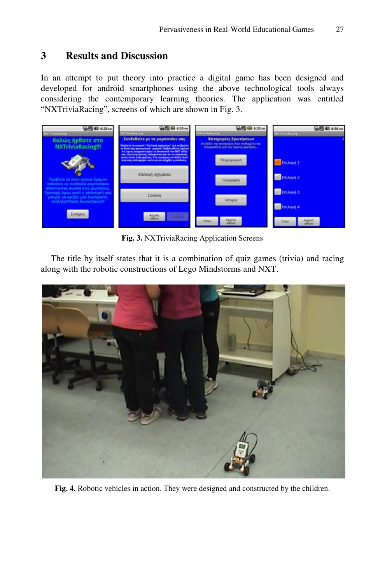### **3 Results and Discussion**

In an attempt to put theory into practice a digital game has been designed and developed for android smartphones using the above technological tools always considering the contemporary learning theories. The application was entitled "NXTriviaRacing", screens of which are shown in Fig. 3.

| <b>WHICH 6-28 AM</b><br><b>NXTriviaRacing</b><br>Καλώς ήρθατε στο<br><b>NXTriviaRacing!!!</b>                                                                                                               | <b>MEL 423 mg</b><br><b>NXTriviaRacing</b><br>Συνδεθείτε με το ρομποτάκι σας<br>Partieta to angeli "Drichopi agipator" pa va fiptita<br>10 fasi ang aporatusi-papali, bilancolitàn apora<br>20 fa igra responsabilen ta bloatach no KCT abla<br>20 fasi ang ang papalitang ing aporatusity<br>20 fasi ang ang papalitang i | <b>NXTrivializating</b><br>Κατηγορίες Ερωτήσεων<br>Επιλέξει την κατηγορία που επιθυμείτε και<br>ετοιμοστείτε για την πρώτη ερώτηση. | <b>WHITE 43 6:56 AM</b><br><b>NXTriviaRacing</b> |
|-------------------------------------------------------------------------------------------------------------------------------------------------------------------------------------------------------------|----------------------------------------------------------------------------------------------------------------------------------------------------------------------------------------------------------------------------------------------------------------------------------------------------------------------------|-------------------------------------------------------------------------------------------------------------------------------------|--------------------------------------------------|
| Προβείτε σε έναν αγώνα δρόμου<br>ειπέναντι σε αντίπολα ρομποτάκια<br>απαντώντας σωστά στις ερωτήσεις.<br>Τροσοχή όμως γιατί η απάντησή σας<br>μπορεί να κρύβει μία δυσάρεστη.<br>έκτληξη ΠΚαλή δυοσκέδαση Π | Επιλογή οχήματος                                                                                                                                                                                                                                                                                                           | Πληροφορική<br>Teuypapia                                                                                                            | EmApyri 1<br><b>Em</b> λογή 2                    |
|                                                                                                                                                                                                             | Σύνδεση                                                                                                                                                                                                                                                                                                                    | Icropia                                                                                                                             | Ε Επιλογή 3<br><b>Em</b> λογή 4                  |
| <b><i><u>Zuwigma</u></i></b>                                                                                                                                                                                | Aggun)<br><b>TAXINE</b>                                                                                                                                                                                                                                                                                                    | Appat<br><b>Diau</b>                                                                                                                | Aggust<br><b>DEOW</b>                            |

**Fig. 3.** NXTriviaRacing Application Screens

The title by itself states that it is a combination of quiz games (trivia) and racing along with the robotic constructions of Lego Mindstorms and NXT.



**Fig. 4.** Robotic vehicles in action. They were designed and constructed by the children.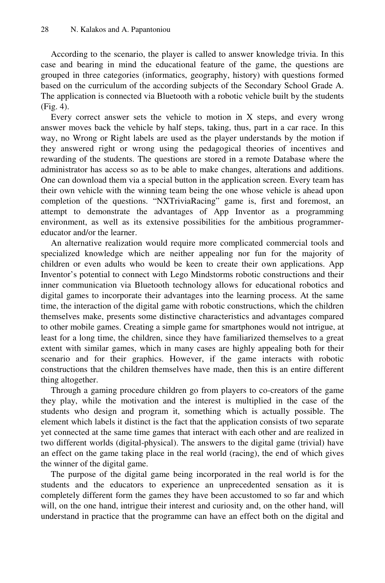According to the scenario, the player is called to answer knowledge trivia. In this case and bearing in mind the educational feature of the game, the questions are grouped in three categories (informatics, geography, history) with questions formed based on the curriculum of the according subjects of the Secondary School Grade A. The application is connected via Bluetooth with a robotic vehicle built by the students (Fig. 4).

Every correct answer sets the vehicle to motion in X steps, and every wrong answer moves back the vehicle by half steps, taking, thus, part in a car race. In this way, no Wrong or Right labels are used as the player understands by the motion if they answered right or wrong using the pedagogical theories of incentives and rewarding of the students. The questions are stored in a remote Database where the administrator has access so as to be able to make changes, alterations and additions. One can download them via a special button in the application screen. Every team has their own vehicle with the winning team being the one whose vehicle is ahead upon completion of the questions. "NXTriviaRacing" game is, first and foremost, an attempt to demonstrate the advantages of App Inventor as a programming environment, as well as its extensive possibilities for the ambitious programmereducator and/or the learner.

An alternative realization would require more complicated commercial tools and specialized knowledge which are neither appealing nor fun for the majority of children or even adults who would be keen to create their own applications. App Inventor's potential to connect with Lego Mindstorms robotic constructions and their inner communication via Bluetooth technology allows for educational robotics and digital games to incorporate their advantages into the learning process. At the same time, the interaction of the digital game with robotic constructions, which the children themselves make, presents some distinctive characteristics and advantages compared to other mobile games. Creating a simple game for smartphones would not intrigue, at least for a long time, the children, since they have familiarized themselves to a great extent with similar games, which in many cases are highly appealing both for their scenario and for their graphics. However, if the game interacts with robotic constructions that the children themselves have made, then this is an entire different thing altogether.

Through a gaming procedure children go from players to co-creators of the game they play, while the motivation and the interest is multiplied in the case of the students who design and program it, something which is actually possible. The element which labels it distinct is the fact that the application consists of two separate yet connected at the same time games that interact with each other and are realized in two different worlds (digital-physical). The answers to the digital game (trivial) have an effect on the game taking place in the real world (racing), the end of which gives the winner of the digital game.

The purpose of the digital game being incorporated in the real world is for the students and the educators to experience an unprecedented sensation as it is completely different form the games they have been accustomed to so far and which will, on the one hand, intrigue their interest and curiosity and, on the other hand, will understand in practice that the programme can have an effect both on the digital and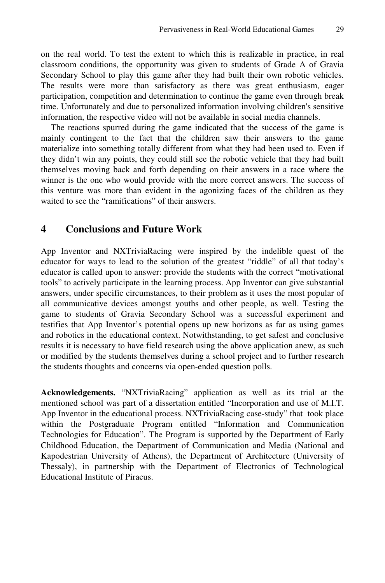on the real world. To test the extent to which this is realizable in practice, in real classroom conditions, the opportunity was given to students of Grade A of Gravia Secondary School to play this game after they had built their own robotic vehicles. The results were more than satisfactory as there was great enthusiasm, eager participation, competition and determination to continue the game even through break time. Unfortunately and due to personalized information involving children's sensitive information, the respective video will not be available in social media channels.

The reactions spurred during the game indicated that the success of the game is mainly contingent to the fact that the children saw their answers to the game materialize into something totally different from what they had been used to. Even if they didn't win any points, they could still see the robotic vehicle that they had built themselves moving back and forth depending on their answers in a race where the winner is the one who would provide with the more correct answers. The success of this venture was more than evident in the agonizing faces of the children as they waited to see the "ramifications" of their answers.

### **4 Conclusions and Future Work**

App Inventor and NXTriviaRacing were inspired by the indelible quest of the educator for ways to lead to the solution of the greatest "riddle" of all that today's educator is called upon to answer: provide the students with the correct "motivational tools" to actively participate in the learning process. App Inventor can give substantial answers, under specific circumstances, to their problem as it uses the most popular of all communicative devices amongst youths and other people, as well. Testing the game to students of Gravia Secondary School was a successful experiment and testifies that App Inventor's potential opens up new horizons as far as using games and robotics in the educational context. Notwithstanding, to get safest and conclusive results it is necessary to have field research using the above application anew, as such or modified by the students themselves during a school project and to further research the students thoughts and concerns via open-ended question polls.

**Acknowledgements.** "NXTriviaRacing" application as well as its trial at the mentioned school was part of a dissertation entitled "Incorporation and use of M.I.T. App Inventor in the educational process. NXTriviaRacing case-study" that took place within the Postgraduate Program entitled "Information and Communication Technologies for Education". The Program is supported by the Department of Early Childhood Education, the Department of Communication and Media (National and Kapodestrian University of Athens), the Department of Architecture (University of Thessaly), in partnership with the Department of Electronics of Technological Educational Institute of Piraeus.